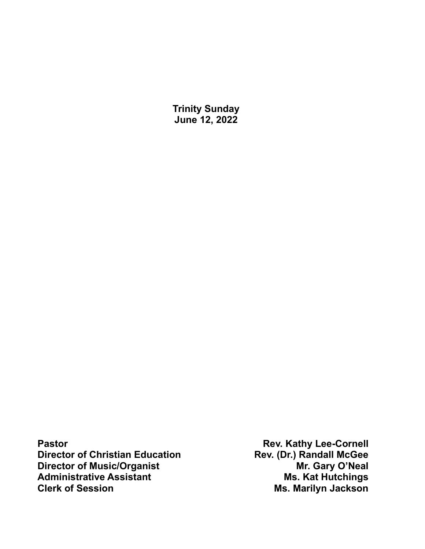**Trinity Sunday June 12, 2022**

Pastor<br> **Pastor Rev. Kathy Lee-Cornell**<br>
Director of Christian Education<br> **Rev. (Dr.) Randall McGee Director of Christian Education**<br> **Director of Music/Organist Director of Music/Organist Rev. (Dr.) Randall McGee Director of Music/Organist**<br> **Administrative Assistant**<br> **Administrative Assistant**<br> **Ms. Kat Hutchings Administrative Assistant Clerk of Session Ms. Marilyn Jackson**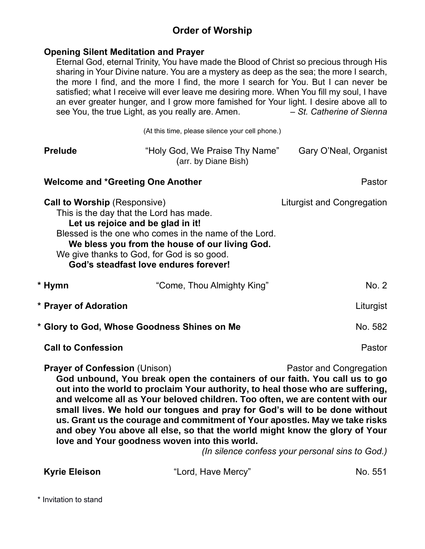# **Order of Worship**

### **Opening Silent Meditation and Prayer**

Eternal God, eternal Trinity, You have made the Blood of Christ so precious through His sharing in Your Divine nature. You are a mystery as deep as the sea; the more I search, the more I find, and the more I find, the more I search for You. But I can never be satisfied; what I receive will ever leave me desiring more. When You fill my soul, I have an ever greater hunger, and I grow more famished for Your light. I desire above all to see You, the true Light, as you really are. Amen. – *St. Catherine of Sienna*

(At this time, please silence your cell phone.)

| <b>Prelude</b>                              | "Holy God, We Praise Thy Name"<br>(arr. by Diane Bish)                                                                                                                                                                                                                                                                                                                                                                                                                                     | Gary O'Neal, Organist             |
|---------------------------------------------|--------------------------------------------------------------------------------------------------------------------------------------------------------------------------------------------------------------------------------------------------------------------------------------------------------------------------------------------------------------------------------------------------------------------------------------------------------------------------------------------|-----------------------------------|
|                                             | <b>Welcome and *Greeting One Another</b>                                                                                                                                                                                                                                                                                                                                                                                                                                                   | Pastor                            |
| <b>Call to Worship (Responsive)</b>         | This is the day that the Lord has made.<br>Let us rejoice and be glad in it!<br>Blessed is the one who comes in the name of the Lord.<br>We bless you from the house of our living God.<br>We give thanks to God, for God is so good.<br>God's steadfast love endures forever!                                                                                                                                                                                                             | <b>Liturgist and Congregation</b> |
| * Hymn                                      | "Come, Thou Almighty King"                                                                                                                                                                                                                                                                                                                                                                                                                                                                 | No. 2                             |
| * Prayer of Adoration                       |                                                                                                                                                                                                                                                                                                                                                                                                                                                                                            | Liturgist                         |
| * Glory to God, Whose Goodness Shines on Me | No. 582                                                                                                                                                                                                                                                                                                                                                                                                                                                                                    |                                   |
| <b>Call to Confession</b>                   |                                                                                                                                                                                                                                                                                                                                                                                                                                                                                            | Pastor                            |
| <b>Prayer of Confession (Unison)</b>        | God unbound, You break open the containers of our faith. You call us to go<br>out into the world to proclaim Your authority, to heal those who are suffering,<br>and welcome all as Your beloved children. Too often, we are content with our<br>small lives. We hold our tongues and pray for God's will to be done without<br>us. Grant us the courage and commitment of Your apostles. May we take risks<br>and obey You above all else, so that the world might know the glory of Your | Pastor and Congregation           |

*(In silence confess your personal sins to God.)*

| Kyrie Eleison | "Lord, Have Mercy" | No. 551 |
|---------------|--------------------|---------|
|               |                    |         |

**love and Your goodness woven into this world.** 

\* Invitation to stand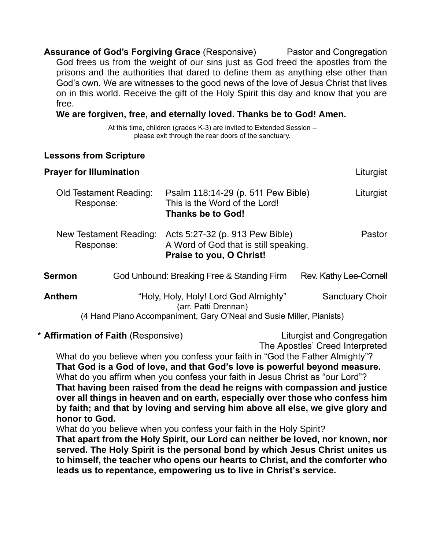**Assurance of God's Forgiving Grace** (Responsive) Pastor and Congregation God frees us from the weight of our sins just as God freed the apostles from the prisons and the authorities that dared to define them as anything else other than God's own. We are witnesses to the good news of the love of Jesus Christ that lives on in this world. Receive the gift of the Holy Spirit this day and know that you are free.

### **We are forgiven, free, and eternally loved. Thanks be to God! Amen.**

At this time, children (grades K-3) are invited to Extended Session – please exit through the rear doors of the sanctuary.

## **Lessons from Scripture**

| <b>Prayer for Illumination</b>      |                                                                                                                                       | Liturgist              |
|-------------------------------------|---------------------------------------------------------------------------------------------------------------------------------------|------------------------|
| Old Testament Reading:<br>Response: | Psalm 118:14-29 (p. 511 Pew Bible)<br>This is the Word of the Lord!<br><b>Thanks be to God!</b>                                       | Liturgist              |
| New Testament Reading:<br>Response: | Acts 5:27-32 (p. 913 Pew Bible)<br>A Word of God that is still speaking.<br>Praise to you, O Christ!                                  | Pastor                 |
| Sermon                              | God Unbound: Breaking Free & Standing Firm                                                                                            | Rev. Kathy Lee-Cornell |
| <b>Anthem</b>                       | "Holy, Holy, Holy! Lord God Almighty"<br>(arr. Patti Drennan)<br>(4 Hand Piano Accompaniment, Gary O'Neal and Susie Miller, Pianists) | <b>Sanctuary Choir</b> |

#### \* **Affirmation of Faith** (Responsive) Liturgist and Congregation

The Apostles' Creed Interpreted

What do you believe when you confess your faith in "God the Father Almighty"? **That God is a God of love, and that God's love is powerful beyond measure.** What do you affirm when you confess your faith in Jesus Christ as "our Lord"? **That having been raised from the dead he reigns with compassion and justice over all things in heaven and on earth, especially over those who confess him by faith; and that by loving and serving him above all else, we give glory and honor to God.**

What do you believe when you confess your faith in the Holy Spirit? **That apart from the Holy Spirit, our Lord can neither be loved, nor known, nor served. The Holy Spirit is the personal bond by which Jesus Christ unites us to himself, the teacher who opens our hearts to Christ, and the comforter who leads us to repentance, empowering us to live in Christ's service.**